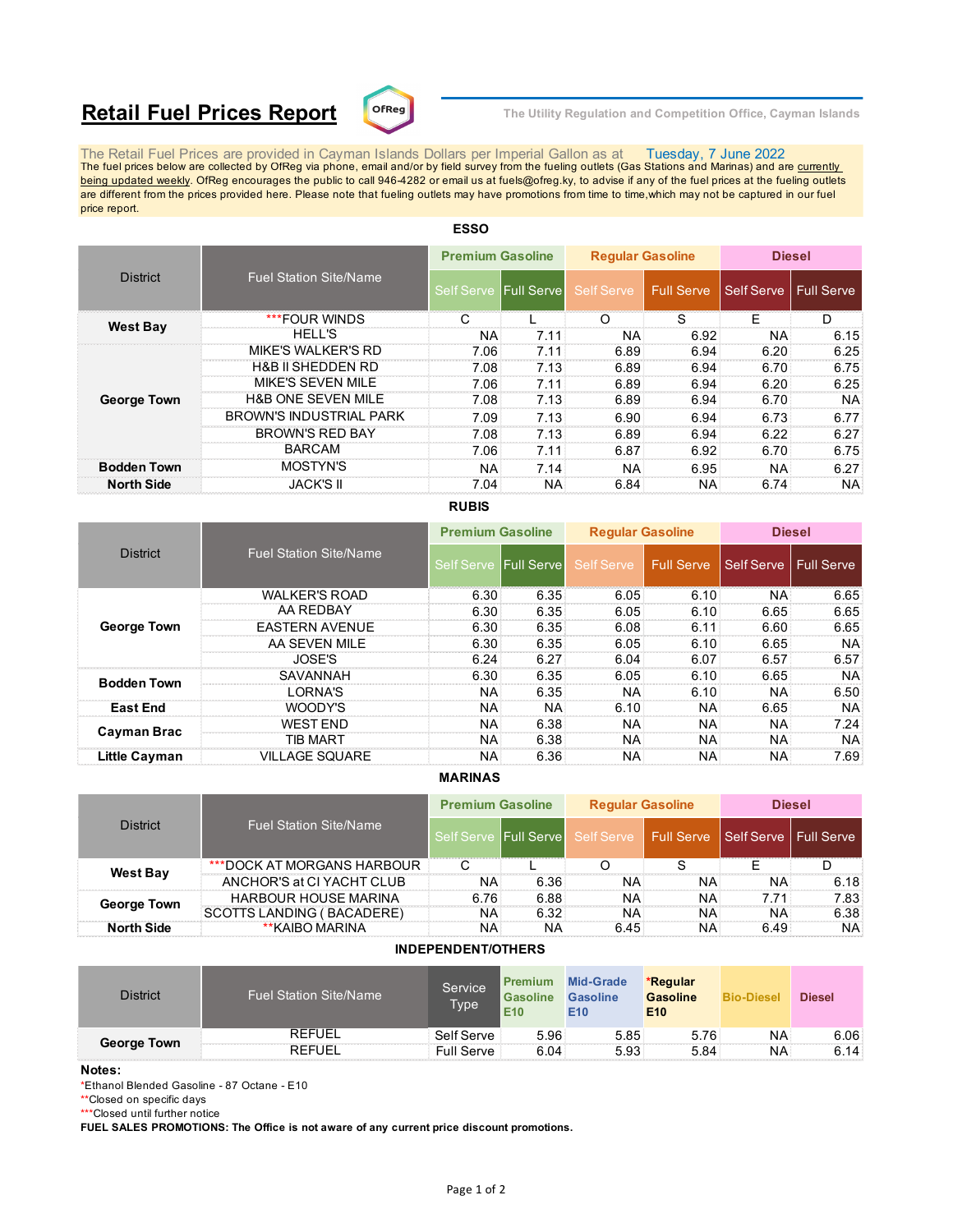# **Retail Fuel Prices Report**  $\text{C}^{\text{DFReg}}$  The Utility Regulation and Competition Office, Cayman Islands



The Retail Fuel Prices are provided in Cayman Islands Dollars per Imperial Gallon as at Tuesday, 7 June 2022<br>The fuel prices below are collected by OfReg via phone, email and/or by field survey from the fueling outlets (G being updated weekly. OfReg encourages the public to call 946-4282 or email us at fuels@ofreg.ky, to advise if any of the fuel prices at the fueling outlets are different from the prices provided here. Please note that fueling outlets may have promotions from time to time,which may not be captured in our fuel price report.

| <b>District</b>    |                                | <b>Premium Gasoline</b> |                       | <b>Regular Gasoline</b> |      | <b>Diesel</b>           |           |
|--------------------|--------------------------------|-------------------------|-----------------------|-------------------------|------|-------------------------|-----------|
|                    | <b>Fuel Station Site/Name</b>  |                         | Self Serve Full Serve | Self Serve Full Serve   |      | Self Serve   Full Serve |           |
|                    | ***FOUR WINDS                  |                         |                       | ( )                     | S    | F                       | D         |
| <b>West Bay</b>    | <b>HELL'S</b>                  | <b>NA</b>               | 7.11                  | NA:                     | 6.92 | <b>NA</b>               | 6.15      |
|                    | <b>MIKE'S WALKER'S RD</b>      | 7.06                    | 7.11                  | 6.89                    | 6.94 | 6.20                    | 6.25      |
|                    | <b>H&amp;B II SHEDDEN RD</b>   | 7.08                    | 7.13                  | 6.89                    | 6.94 | 6.70                    | 6.75      |
|                    | <b>MIKE'S SEVEN MILE</b>       | 7.06                    | 7.11                  | 6.89                    | 6.94 | 6.20                    | 6.25      |
| <b>George Town</b> | <b>H&amp;B ONE SEVEN MILE</b>  | 7.08                    | 7.13                  | 6.89                    | 6.94 | 6.70                    | NA.       |
|                    | <b>BROWN'S INDUSTRIAL PARK</b> | 7.09                    | 7.13                  | 6.90                    | 6.94 | 6.73                    | 6.77      |
|                    | <b>BROWN'S RED BAY</b>         | 7.08                    | 7.13                  | 6.89                    | 6.94 | 6.22                    | 6.27      |
|                    | <b>BARCAM</b>                  | 7.06                    | 7.11                  | 6.87                    | 6.92 | 6.70                    | 6.75      |
| <b>Bodden Town</b> | MOSTYN'S                       | <b>NA</b>               | 7.14                  | <b>NA</b>               | 6.95 | <b>NA</b>               | 6.27      |
| <b>North Side</b>  | <b>JACK'S II</b>               | 7.04                    | NA.                   | 6.84                    | NA:  | 6.74                    | <b>NA</b> |

# **ESSO**

## **RUBIS**

|                      |                               | <b>Premium Gasoline</b> |           | <b>Reqular Gasoline</b> |            | <b>Diesel</b>           |           |
|----------------------|-------------------------------|-------------------------|-----------|-------------------------|------------|-------------------------|-----------|
| <b>District</b>      | <b>Fuel Station Site/Name</b> | Self Serve Full Serve   |           | <b>Self Serve</b>       | Full Serve | Self Serve   Full Serve |           |
|                      | <b>WALKER'S ROAD</b>          | 6.30                    | 6.35      | 6.05                    | 6.10       | <b>NA</b>               | 6.65      |
|                      | AA REDBAY                     | 6.30                    | 6.35      | 6.05                    | 6.10       | 6.65                    | 6.65      |
| <b>George Town</b>   | <b>EASTERN AVENUE</b>         | 6.30                    | 6.35      | 6.08                    | 6.11       | 6.60                    | 6.65      |
|                      | AA SEVEN MILE                 | 6.30                    | 6.35      | 6.05                    | 6.10       | 6.65                    | <b>NA</b> |
|                      | JOSE'S                        | 6.24                    | 6.27      | 6.04                    | 6.07       | 6.57                    | 6.57      |
| <b>Bodden Town</b>   | SAVANNAH                      | 6.30                    | 6.35      | 6.05                    | 6.10       | 6.65                    | NA.       |
|                      | ORNA'S                        | <b>NA</b>               | 6.35      | NA.                     | 6.10       | NA.                     | 6.50      |
| <b>East End</b>      | WOODY'S                       | <b>NA</b>               | <b>NA</b> | 6.10                    | NA:        | 6.65                    | NA.       |
| Cayman Brac          | <b>WEST FND</b>               | <b>NA</b>               | 6.38      | <b>NA</b>               | NA         | NA.                     | 7.24      |
|                      | TIB MART                      | <b>NA</b>               | 6.38      | <b>NA</b>               | <b>NA</b>  | NA.                     | NA.       |
| <b>Little Cayman</b> | <b>VILLAGE SQUARE</b>         | NA                      | 6.36      | <b>NA</b>               | NA.        | NA.                     | 7.69      |

### **MARINAS**

| <b>District</b>    |                               | <b>Premium Gasoline</b> |                       | <b>Regular Gasoline</b>                           |     | <b>Diesel</b> |           |
|--------------------|-------------------------------|-------------------------|-----------------------|---------------------------------------------------|-----|---------------|-----------|
|                    | <b>Fuel Station Site/Name</b> |                         | Self Serve Full Serve | Self Serve   Full Serve   Self Serve   Full Serve |     |               |           |
| <b>West Bay</b>    | ***DOCK AT MORGANS HARBOUR    |                         |                       |                                                   |     |               |           |
|                    | ANCHOR'S at CI YACHT CLUB     | <b>NA</b>               | 6.36                  | NA.                                               | NA: | NA.           | 6.18      |
| <b>George Town</b> | <b>HARBOUR HOUSE MARINA</b>   | 6.76                    | 6.88                  | NA.                                               | NA: | 7.71          | 7.83      |
|                    | SCOTTS LANDING ( BACADERE)    | ΝA                      | 6.32                  | NA.                                               | NA: | NA.           | 6.38      |
| <b>North Side</b>  | **KAIBO MARINA                | ΝA                      | NA                    | 6.45                                              | NA: | 6.49          | <b>NA</b> |

### **INDEPENDENT/OTHERS**

| <b>District</b>    | <b>Fuel Station Site/Name</b> | Service<br>Type | Premium<br><b>Gasoline</b><br>E <sub>10</sub> | <b>Mid-Grade</b><br><b>Gasoline</b><br>E10 | *Regular<br><b>Gasoline</b><br>E <sub>10</sub> | <b>Bio-Diesel</b> | <b>Diesel</b>     |
|--------------------|-------------------------------|-----------------|-----------------------------------------------|--------------------------------------------|------------------------------------------------|-------------------|-------------------|
| <b>George Town</b> | <b>REFUEL</b>                 | Self Serve      | 5.96                                          | 5.85                                       | 5.76                                           | NA                | 6.06 <sup>1</sup> |
|                    | <b>REFUEL</b>                 | Full Serve      | 6.04                                          | 5.93                                       | 5.84                                           | ΝA                | 6.14:             |

#### **Notes:**

\*Ethanol Blended Gasoline - 87 Octane - E10

\*\*Closed on specific days

\*\*\*Closed until further notice

**FUEL SALES PROMOTIONS: The Office is not aware of any current price discount promotions.**